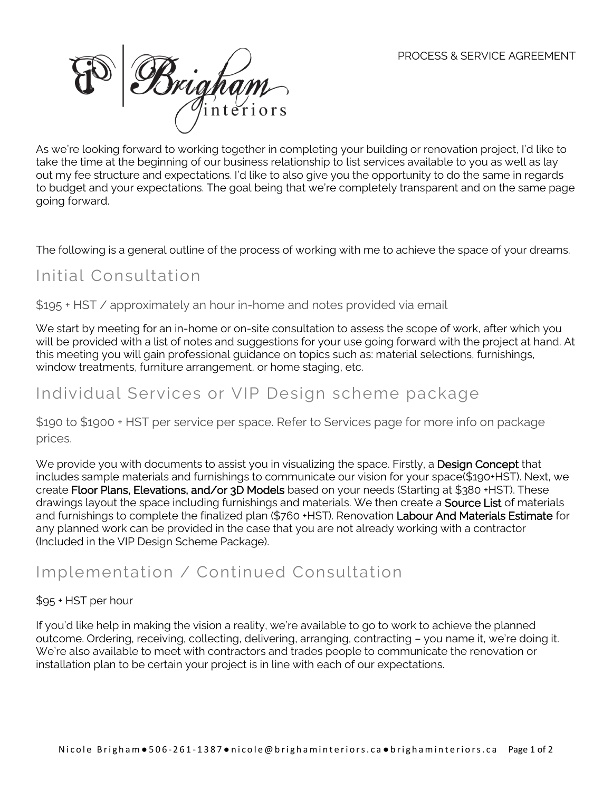

As we're looking forward to working together in completing your building or renovation project, I'd like to take the time at the beginning of our business relationship to list services available to you as well as lay out my fee structure and expectations. I'd like to also give you the opportunity to do the same in regards to budget and your expectations. The goal being that we're completely transparent and on the same page going forward.

The following is a general outline of the process of working with me to achieve the space of your dreams.

## Initial Consultation

\$195 + HST / approximately an hour in-home and notes provided via email

We start by meeting for an in-home or on-site consultation to assess the scope of work, after which you will be provided with a list of notes and suggestions for your use going forward with the project at hand. At this meeting you will gain professional guidance on topics such as: material selections, furnishings, window treatments, furniture arrangement, or home staging, etc.

## Individual Services or VIP Design scheme package

\$190 to \$1900 + HST per service per space. Refer to Services page for more info on package prices.

We provide you with documents to assist you in visualizing the space. Firstly, a **Design Concept** that includes sample materials and furnishings to communicate our vision for your space(\$190+HST). Next, we create Floor Plans, Elevations, and/or 3D Models based on your needs (Starting at \$380 +HST). These drawings layout the space including furnishings and materials. We then create a **Source List** of materials and furnishings to complete the finalized plan (\$760 +HST). Renovation Labour And Materials Estimate for any planned work can be provided in the case that you are not already working with a contractor (Included in the VIP Design Scheme Package).

# Implementation / Continued Consultation

#### \$95 + HST per hour

If you'd like help in making the vision a reality, we're available to go to work to achieve the planned outcome. Ordering, receiving, collecting, delivering, arranging, contracting – you name it, we're doing it. We're also available to meet with contractors and trades people to communicate the renovation or installation plan to be certain your project is in line with each of our expectations.